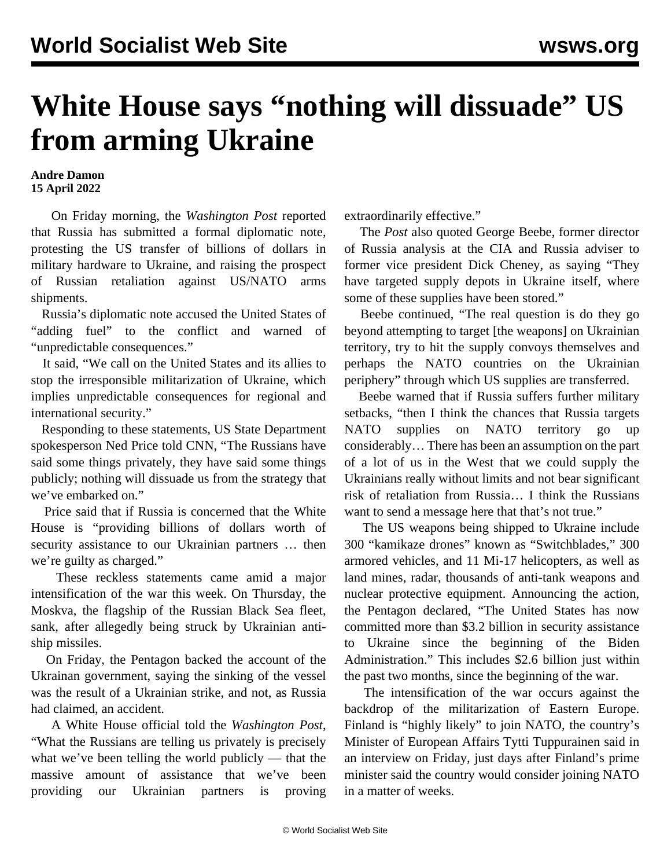## **White House says "nothing will dissuade" US from arming Ukraine**

## **Andre Damon 15 April 2022**

 On Friday morning, the *Washington Post* reported that Russia has submitted a formal diplomatic note, protesting the US transfer of billions of dollars in military hardware to Ukraine, and raising the prospect of Russian retaliation against US/NATO arms shipments.

 Russia's diplomatic note accused the United States of "adding fuel" to the conflict and warned of "unpredictable consequences."

 It said, "We call on the United States and its allies to stop the irresponsible militarization of Ukraine, which implies unpredictable consequences for regional and international security."

 Responding to these statements, US State Department spokesperson Ned Price told CNN, "The Russians have said some things privately, they have said some things publicly; nothing will dissuade us from the strategy that we've embarked on."

 Price said that if Russia is concerned that the White House is "providing billions of dollars worth of security assistance to our Ukrainian partners … then we're guilty as charged."

 These reckless statements came amid a major intensification of the war this week. On Thursday, the Moskva, the flagship of the Russian Black Sea fleet, sank, after allegedly being struck by Ukrainian antiship missiles.

 On Friday, the Pentagon backed the account of the Ukrainan government, saying the sinking of the vessel was the result of a Ukrainian strike, and not, as Russia had claimed, an accident.

 A White House official told the *Washington Post*, "What the Russians are telling us privately is precisely what we've been telling the world publicly — that the massive amount of assistance that we've been providing our Ukrainian partners is proving extraordinarily effective."

 The *Post* also quoted George Beebe, former director of Russia analysis at the CIA and Russia adviser to former vice president Dick Cheney, as saying "They have targeted supply depots in Ukraine itself, where some of these supplies have been stored."

 Beebe continued, "The real question is do they go beyond attempting to target [the weapons] on Ukrainian territory, try to hit the supply convoys themselves and perhaps the NATO countries on the Ukrainian periphery" through which US supplies are transferred.

 Beebe warned that if Russia suffers further military setbacks, "then I think the chances that Russia targets NATO supplies on NATO territory go up considerably… There has been an assumption on the part of a lot of us in the West that we could supply the Ukrainians really without limits and not bear significant risk of retaliation from Russia… I think the Russians want to send a message here that that's not true."

 The US weapons being shipped to Ukraine include 300 "kamikaze drones" known as "Switchblades," 300 armored vehicles, and 11 Mi-17 helicopters, as well as land mines, radar, thousands of anti-tank weapons and nuclear protective equipment. [Announcing the action,](/en/articles/2022/04/15/nato-a15.html) the Pentagon declared, "The United States has now committed more than \$3.2 billion in security assistance to Ukraine since the beginning of the Biden Administration." This includes \$2.6 billion just within the past two months, since the beginning of the war.

 The intensification of the war occurs against the backdrop of the militarization of Eastern Europe. Finland is "highly likely" to join NATO, the country's Minister of European Affairs Tytti Tuppurainen said in an interview on Friday, just days after Finland's prime minister said the country would consider joining NATO in a matter of weeks.